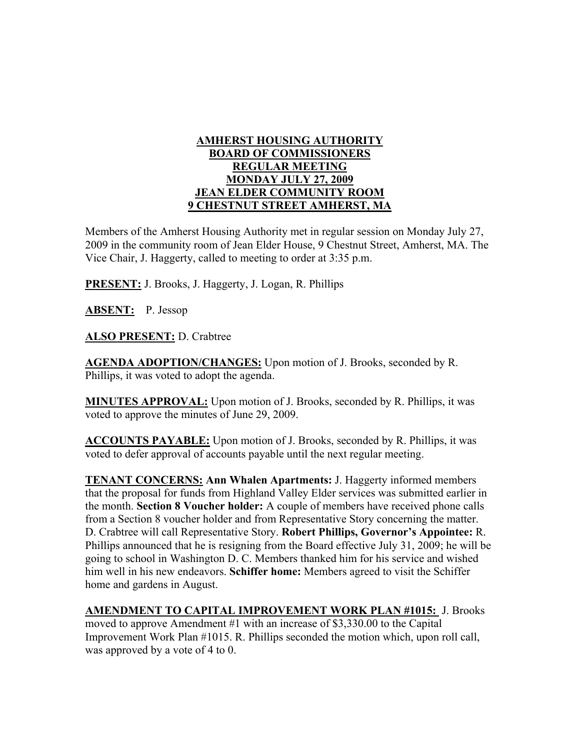## **AMHERST HOUSING AUTHORITY BOARD OF COMMISSIONERS REGULAR MEETING MONDAY JULY 27, 2009 JEAN ELDER COMMUNITY ROOM 9 CHESTNUT STREET AMHERST, MA**

Members of the Amherst Housing Authority met in regular session on Monday July 27, 2009 in the community room of Jean Elder House, 9 Chestnut Street, Amherst, MA. The Vice Chair, J. Haggerty, called to meeting to order at 3:35 p.m.

**PRESENT:** J. Brooks, J. Haggerty, J. Logan, R. Phillips

**ABSENT:** P. Jessop

**ALSO PRESENT:** D. Crabtree

**AGENDA ADOPTION/CHANGES:** Upon motion of J. Brooks, seconded by R. Phillips, it was voted to adopt the agenda.

**MINUTES APPROVAL:** Upon motion of J. Brooks, seconded by R. Phillips, it was voted to approve the minutes of June 29, 2009.

**ACCOUNTS PAYABLE:** Upon motion of J. Brooks, seconded by R. Phillips, it was voted to defer approval of accounts payable until the next regular meeting.

**TENANT CONCERNS: Ann Whalen Apartments:** J. Haggerty informed members that the proposal for funds from Highland Valley Elder services was submitted earlier in the month. **Section 8 Voucher holder:** A couple of members have received phone calls from a Section 8 voucher holder and from Representative Story concerning the matter. D. Crabtree will call Representative Story. **Robert Phillips, Governor's Appointee:** R. Phillips announced that he is resigning from the Board effective July 31, 2009; he will be going to school in Washington D. C. Members thanked him for his service and wished him well in his new endeavors. **Schiffer home:** Members agreed to visit the Schiffer home and gardens in August.

**AMENDMENT TO CAPITAL IMPROVEMENT WORK PLAN #1015:** J. Brooks moved to approve Amendment #1 with an increase of \$3,330.00 to the Capital Improvement Work Plan #1015. R. Phillips seconded the motion which, upon roll call, was approved by a vote of 4 to 0.